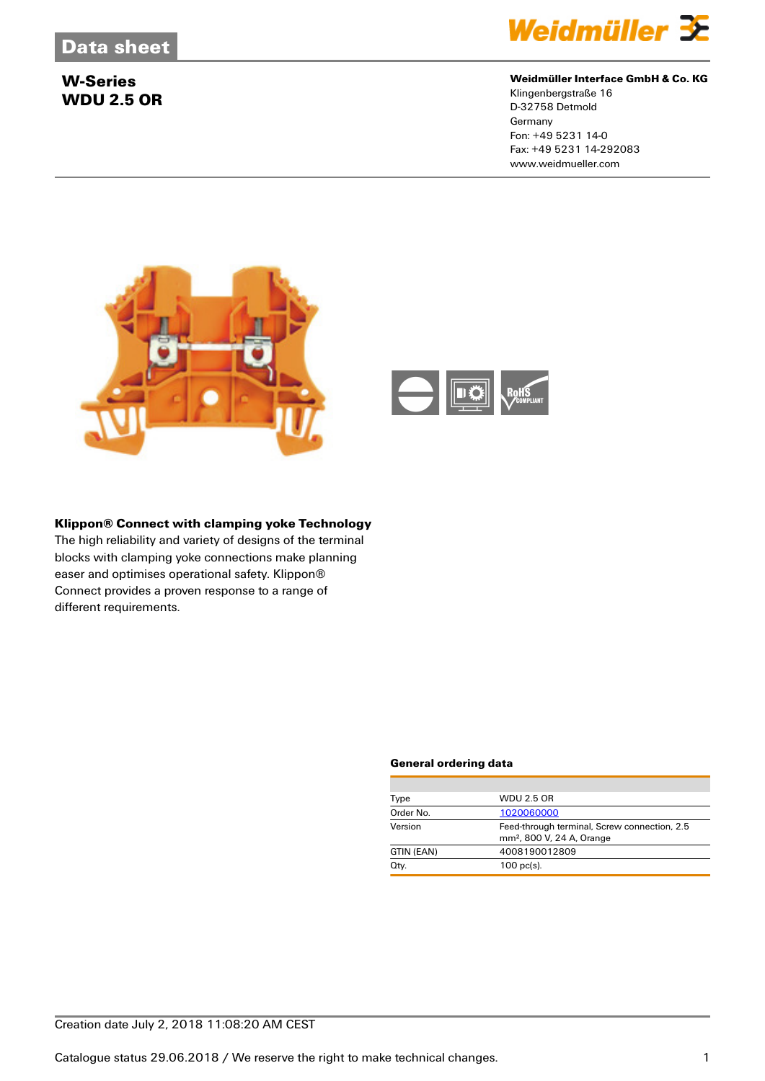

#### **Weidmüller Interface GmbH & Co. KG**

Klingenbergstraße 16 D-32758 Detmold **Germany** Fon: +49 5231 14-0 Fax: +49 5231 14-292083 www.weidmueller.com



#### **Klippon® Connect with clamping yoke Technology**

The high reliability and variety of designs of the terminal blocks with clamping yoke connections make planning easer and optimises operational safety. Klippon® Connect provides a proven response to a range of different requirements.

#### **General ordering data**

| Type       | <b>WDU 2.5 OR</b>                                                                     |
|------------|---------------------------------------------------------------------------------------|
| Order No.  | 1020060000                                                                            |
| Version    | Feed-through terminal, Screw connection, 2.5<br>mm <sup>2</sup> , 800 V, 24 A, Orange |
| GTIN (EAN) | 4008190012809                                                                         |
| Qty.       | $100$ pc(s).                                                                          |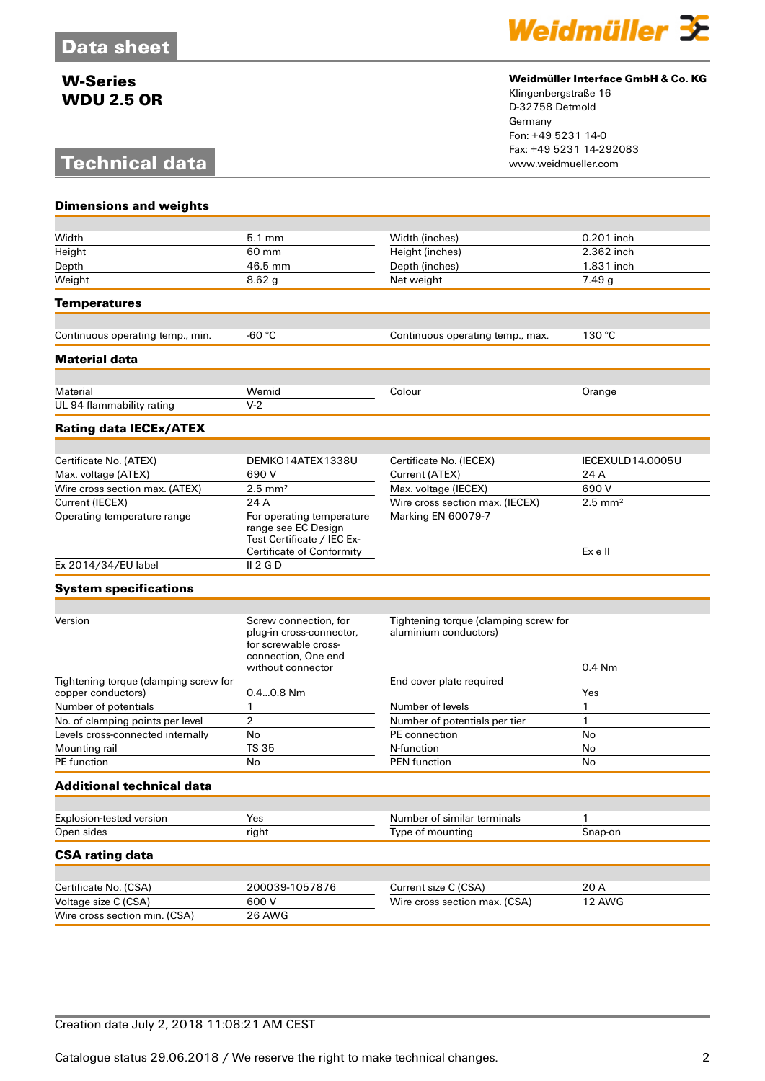# **Technical data**

**Dimensions and weights**



#### **Weidmüller Interface GmbH & Co. KG**

Klingenbergstraße 16 D-32758 Detmold Germany Fon: +49 5231 14-0 Fax: +49 5231 14-292083

| Width                                                       | 5.1 mm                                                                                                                | Width (inches)                                                 | 0.201 inch         |
|-------------------------------------------------------------|-----------------------------------------------------------------------------------------------------------------------|----------------------------------------------------------------|--------------------|
| Height                                                      | 60 mm                                                                                                                 | Height (inches)                                                | 2.362 inch         |
| Depth                                                       | 46.5 mm                                                                                                               | Depth (inches)<br>1.831 inch                                   |                    |
| Weight                                                      | 8.62 <sub>g</sub>                                                                                                     | Net weight                                                     | 7.49g              |
| <b>Temperatures</b>                                         |                                                                                                                       |                                                                |                    |
|                                                             |                                                                                                                       |                                                                |                    |
| Continuous operating temp., min.                            | -60 °C                                                                                                                | Continuous operating temp., max.                               | 130 °C             |
| <b>Material data</b>                                        |                                                                                                                       |                                                                |                    |
| Material                                                    | Wemid                                                                                                                 | Colour                                                         | Orange             |
| UL 94 flammability rating                                   | $V-2$                                                                                                                 |                                                                |                    |
| <b>Rating data IECEx/ATEX</b>                               |                                                                                                                       |                                                                |                    |
|                                                             |                                                                                                                       |                                                                |                    |
| Certificate No. (ATEX)                                      | DEMKO14ATEX1338U                                                                                                      | Certificate No. (IECEX)                                        | IECEXULD14.0005U   |
| Max. voltage (ATEX)                                         | 690 V                                                                                                                 | Current (ATEX)                                                 | 24 A               |
| Wire cross section max. (ATEX)                              | $2.5$ mm <sup>2</sup>                                                                                                 | Max. voltage (IECEX)                                           | 690 V              |
| Current (IECEX)                                             | 24 A                                                                                                                  | Wire cross section max. (IECEX)                                | $2.5 \text{ mm}^2$ |
| Operating temperature range                                 | For operating temperature<br>range see EC Design<br>Test Certificate / IEC Ex-<br><b>Certificate of Conformity</b>    | Marking EN 60079-7                                             | Ex e II            |
| Ex 2014/34/EU label                                         | II 2 G D                                                                                                              |                                                                |                    |
| <b>System specifications</b>                                |                                                                                                                       |                                                                |                    |
|                                                             |                                                                                                                       |                                                                |                    |
| Version                                                     | Screw connection, for<br>plug-in cross-connector,<br>for screwable cross-<br>connection, One end<br>without connector | Tightening torque (clamping screw for<br>aluminium conductors) | 0.4 Nm             |
| Tightening torque (clamping screw for<br>copper conductors) | $0.40.8$ Nm                                                                                                           | End cover plate required                                       | Yes                |
| Number of potentials                                        | 1                                                                                                                     | Number of levels                                               | 1                  |
| No. of clamping points per level                            | $\overline{2}$                                                                                                        | Number of potentials per tier                                  | 1                  |
| Levels cross-connected internally                           | No                                                                                                                    | PE connection                                                  | No                 |
| Mounting rail                                               | <b>TS 35</b>                                                                                                          | N-function                                                     | No                 |
| <b>PE</b> function                                          | No                                                                                                                    | <b>PEN</b> function                                            | No                 |
| Additional technical data                                   |                                                                                                                       |                                                                |                    |
|                                                             |                                                                                                                       |                                                                |                    |
| Explosion-tested version                                    | Yes                                                                                                                   | Number of similar terminals                                    | 1                  |
| Open sides                                                  | right                                                                                                                 | Type of mounting                                               | Snap-on            |
| <b>CSA rating data</b>                                      |                                                                                                                       |                                                                |                    |
|                                                             |                                                                                                                       |                                                                |                    |
| Certificate No. (CSA)                                       | 200039-1057876                                                                                                        | Current size C (CSA)                                           | 20 A               |
|                                                             |                                                                                                                       |                                                                |                    |
| Voltage size C (CSA)<br>Wire cross section min. (CSA)       | 600 V<br>26 AWG                                                                                                       | Wire cross section max. (CSA)                                  | 12 AWG             |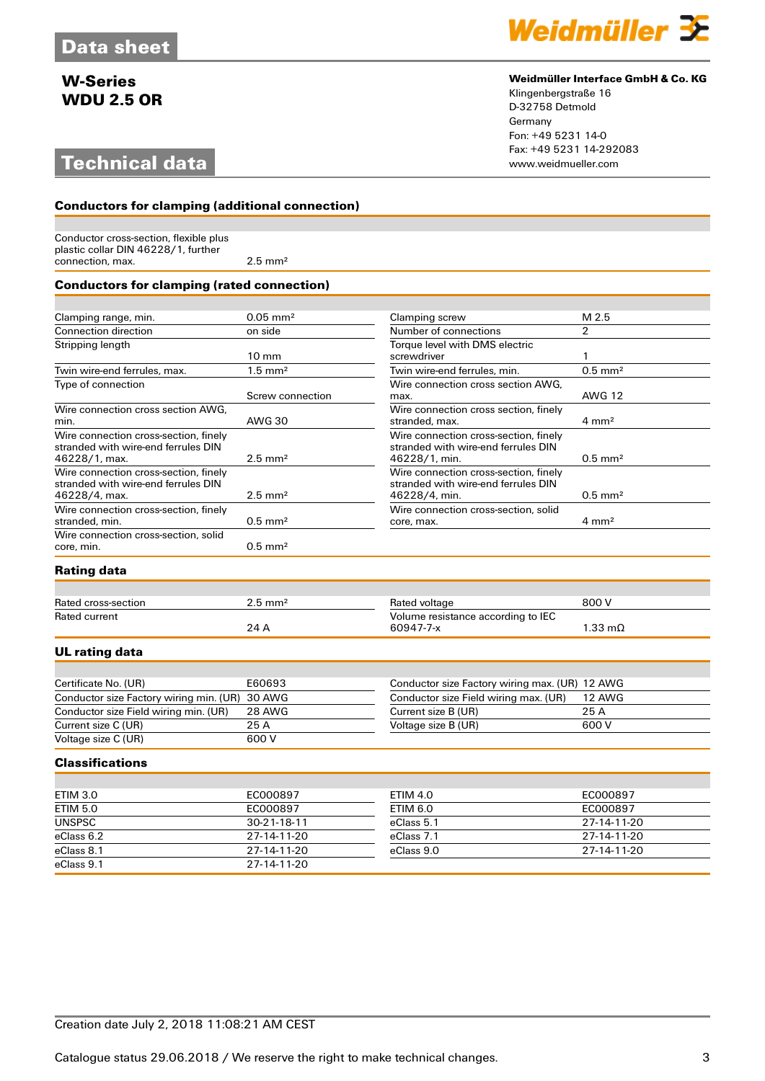# **Technical data**



#### **Weidmüller Interface GmbH & Co. KG**

Klingenbergstraße 16 D-32758 Detmold Germany Fon: +49 5231 14-0 Fax: +49 5231 14-292083

### **Conductors for clamping (additional connection)**

Conductor cross-section, flexible plus plastic collar DIN 46228/1, further connection, max. 2.5 mm<sup>2</sup>

#### **Conductors for clamping (rated connection)**

| Clamping range, min.                                                                          | $0.05$ mm <sup>2</sup> | Clamping screw                                                                                | M 2.5                 |
|-----------------------------------------------------------------------------------------------|------------------------|-----------------------------------------------------------------------------------------------|-----------------------|
| Connection direction                                                                          | on side                | Number of connections                                                                         | $\overline{2}$        |
| Stripping length                                                                              |                        | Torque level with DMS electric                                                                |                       |
|                                                                                               | $10 \text{ mm}$        | screwdriver                                                                                   |                       |
| Twin wire-end ferrules, max.                                                                  | $1.5 \text{ mm}^2$     | Twin wire-end ferrules, min.                                                                  | $0.5$ mm <sup>2</sup> |
| Type of connection                                                                            | Screw connection       | Wire connection cross section AWG.<br>max.                                                    | <b>AWG 12</b>         |
| Wire connection cross section AWG.<br>min.                                                    | <b>AWG 30</b>          | Wire connection cross section, finely<br>stranded, max.                                       | $4 \text{ mm}^2$      |
| Wire connection cross-section, finely<br>stranded with wire-end ferrules DIN<br>46228/1, max. | $2.5 \text{ mm}^2$     | Wire connection cross-section, finely<br>stranded with wire-end ferrules DIN<br>46228/1, min. | $0.5$ mm <sup>2</sup> |
| Wire connection cross-section, finely<br>stranded with wire-end ferrules DIN<br>46228/4, max. | $2.5$ mm <sup>2</sup>  | Wire connection cross-section, finely<br>stranded with wire-end ferrules DIN<br>46228/4, min. | $0.5$ mm <sup>2</sup> |
| Wire connection cross-section, finely<br>stranded, min.                                       | $0.5$ mm <sup>2</sup>  | Wire connection cross-section, solid<br>core, max.                                            | $4 \text{ mm}^2$      |
| Wire connection cross-section, solid<br>core, min.                                            | $0.5$ mm <sup>2</sup>  |                                                                                               |                       |

### **Rating data**

| Rated cross-section | $2.5\ \mathrm{mm}^2$ | Rated voltage                      | 800 V             |
|---------------------|----------------------|------------------------------------|-------------------|
| Rated current       |                      | Volume resistance according to IEC |                   |
|                     | 24 L                 | 60947-7-x                          | $1.33 \text{ mA}$ |

### **UL rating data**

| Certificate No. (UR)                           | E60693 | Conductor size Factory wiring max. (UR) 12 AWG |        |
|------------------------------------------------|--------|------------------------------------------------|--------|
| Conductor size Factory wiring min. (UR) 30 AWG |        | Conductor size Field wiring max. (UR)          | 12 AWG |
| Conductor size Field wiring min. (UR)          | 28 AWG | Current size B (UR)                            | 25 A   |
| Current size C (UR)                            | 25 A   | Voltage size B (UR)                            | 600 V  |
| Voltage size C (UR)                            | 600 V  |                                                |        |

#### **Classifications**

| ETIM 3.0        | EC000897    | <b>ETIM 4.0</b> | EC000897            |
|-----------------|-------------|-----------------|---------------------|
| <b>ETIM 5.0</b> | EC000897    | ETIM 6.0        | EC000897            |
| <b>UNSPSC</b>   | 30-21-18-11 | eClass 5.1      | 27-14-11-20         |
| eClass 6.2      | 27-14-11-20 | eClass 7.1      | 27-14-11-20         |
| eClass 8.1      | 27-14-11-20 | eClass 9.0      | $27 - 14 - 11 - 20$ |
| eClass 9.1      | 27-14-11-20 |                 |                     |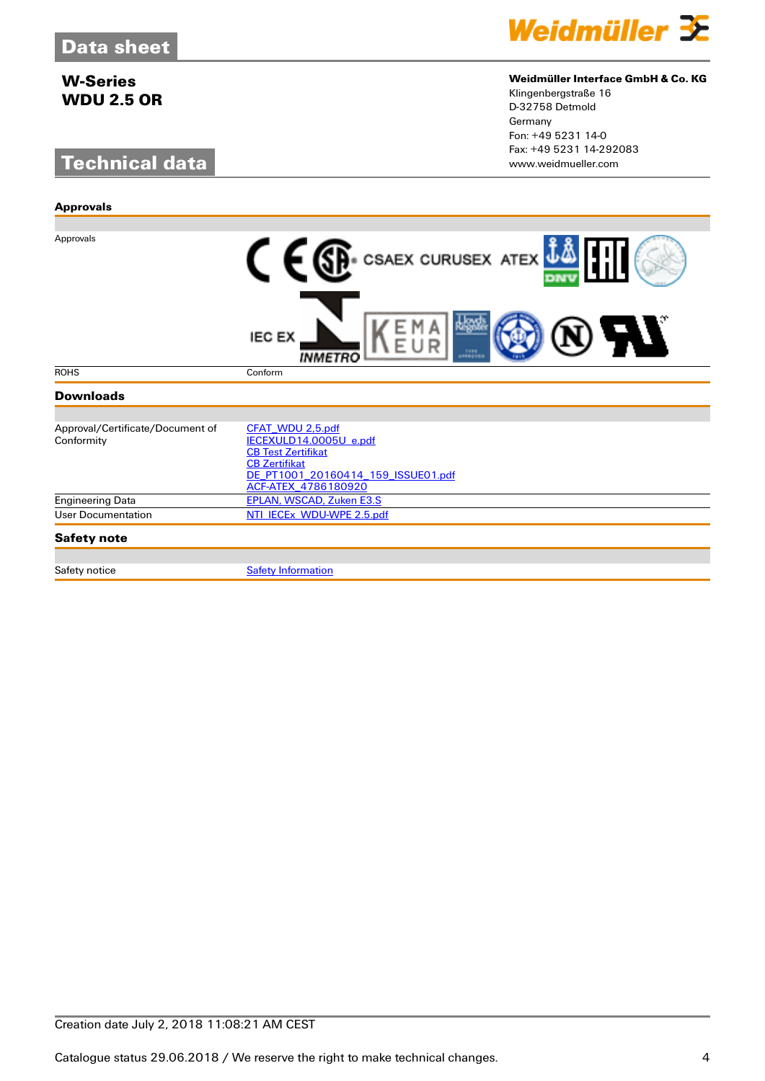**Approvals**

# **Technical data**



#### **Weidmüller Interface GmbH & Co. KG**

Klingenbergstraße 16 D-32758 Detmold Germany Fon: +49 5231 14-0 Fax: +49 5231 14-292083

| Approvals                                      | <b>C</b> E SP. CSAEX CURUSEX ATEX $\mathbf{i}\mathbf{k}$                                                                                                     |
|------------------------------------------------|--------------------------------------------------------------------------------------------------------------------------------------------------------------|
|                                                | <b>IEC EX</b><br>APPROVED<br><i><b>INMETRO</b></i>                                                                                                           |
| <b>ROHS</b>                                    | Conform                                                                                                                                                      |
| <b>Downloads</b>                               |                                                                                                                                                              |
|                                                |                                                                                                                                                              |
| Approval/Certificate/Document of<br>Conformity | CFAT_WDU 2,5.pdf<br>IECEXULD14.0005U_e.pdf<br><b>CB Test Zertifikat</b><br><b>CB Zertifikat</b><br>DE PT1001 20160414 159 ISSUE01.pdf<br>ACF-ATEX_4786180920 |
| <b>Engineering Data</b>                        | <b>EPLAN, WSCAD, Zuken E3.S</b>                                                                                                                              |
| <b>User Documentation</b>                      | NTI_IECEx_WDU-WPE 2.5.pdf                                                                                                                                    |
| <b>Safety note</b>                             |                                                                                                                                                              |
|                                                |                                                                                                                                                              |
| Safety notice                                  | <b>Safety Information</b>                                                                                                                                    |